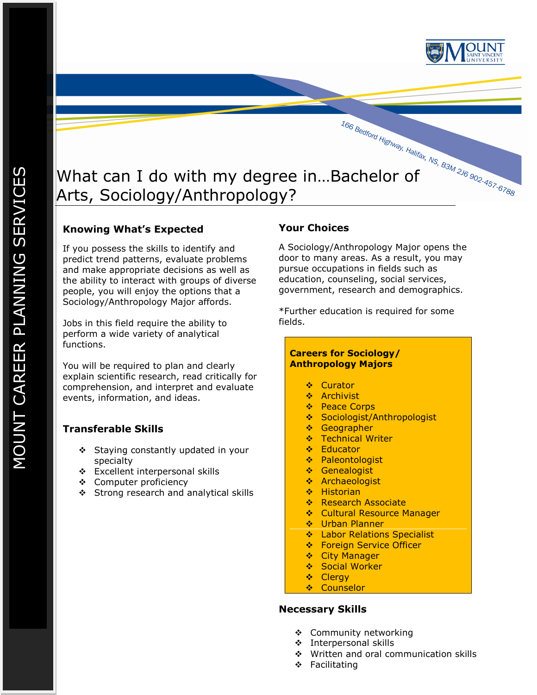

## **Knowing What's Expected**

If you possess the skills to identify and predict trend patterns, evaluate problems and make appropriate decisions as well as the ability to interact with groups of diverse people, you will enjoy the options that a Sociology/Anthropology Major affords.

Jobs in this field require the ability to perform a wide variety of analytical functions.

You will be required to plan and clearly explain scientific research, read critically for comprehension, and interpret and evaluate events, information, and ideas.

# **Transferable Skills**

- ❖ Staying constantly updated in your specialty
- Excellent interpersonal skills
- Computer proficiency
- Strong research and analytical skills

# **Your Choices**

A Sociology/Anthropology Major opens the door to many areas. As a result, you may pursue occupations in fields such as education, counseling, social services, government, research and demographics.

\*Further education is required for some fields.

### **Careers for Sociology/ Anthropology Majors**

- ❖ Curator
- ❖ Archivist
- ❖ Peace Corps
- ❖ Sociologist/Anthropologist
- **❖** Geographer
- **❖** Technical Writer
- ❖ Educator
- ❖ Paleontologist
- **❖** Genealogist
- Archaeologist
- ❖ Historian
- ❖ Research Associate
- **Cultural Resource Manager**
- **❖** Urban Planner
- $\cdot$  Labor Relations Specialist
- **❖** Foreign Service Officer
- ❖ City Manager
- ❖ Social Worker
- ❖ Clergy
- **❖** Counselor

### **Necessary Skills**

- ❖ Community networking
- Interpersonal skills
- ❖ Written and oral communication skills
- ❖ Facilitating